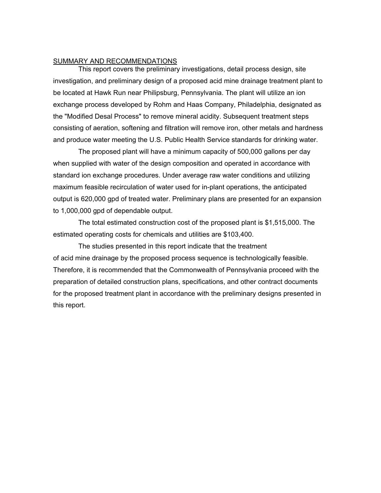#### SUMMARY AND RECOMMENDATIONS

This report covers the preliminary investigations, detail process design, site investigation, and preliminary design of a proposed acid mine drainage treatment plant to be located at Hawk Run near Philipsburg, Pennsylvania. The plant will utilize an ion exchange process developed by Rohm and Haas Company, Philadelphia, designated as the "Modified Desal Process" to remove mineral acidity. Subsequent treatment steps consisting of aeration, softening and filtration will remove iron, other metals and hardness and produce water meeting the U.S. Public Health Service standards for drinking water.

The proposed plant will have a minimum capacity of 500,000 gallons per day when supplied with water of the design composition and operated in accordance with standard ion exchange procedures. Under average raw water conditions and utilizing maximum feasible recirculation of water used for in-plant operations, the anticipated output is 620,000 gpd of treated water. Preliminary plans are presented for an expansion to 1,000,000 gpd of dependable output.

The total estimated construction cost of the proposed plant is \$1,515,000. The estimated operating costs for chemicals and utilities are \$103,400.

The studies presented in this report indicate that the treatment of acid mine drainage by the proposed process sequence is technologically feasible. Therefore, it is recommended that the Commonwealth of Pennsylvania proceed with the preparation of detailed construction plans, specifications, and other contract documents for the proposed treatment plant in accordance with the preliminary designs presented in this report.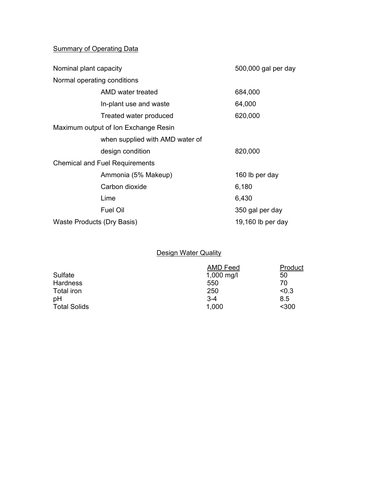# **Summary of Operating Data**

| Nominal plant capacity                | 500,000 gal per day |
|---------------------------------------|---------------------|
| Normal operating conditions           |                     |
| AMD water treated                     | 684,000             |
| In-plant use and waste                | 64,000              |
| Treated water produced                | 620,000             |
| Maximum output of Ion Exchange Resin  |                     |
| when supplied with AMD water of       |                     |
| design condition                      | 820,000             |
| <b>Chemical and Fuel Requirements</b> |                     |
| Ammonia (5% Makeup)                   | 160 lb per day      |
| Carbon dioxide                        | 6,180               |
| Lime                                  | 6,430               |
| <b>Fuel Oil</b>                       | 350 gal per day     |
| Waste Products (Dry Basis)            | 19,160 lb per day   |

## **Design Water Quality**

|                     | <b>AMD Feed</b> | Product |
|---------------------|-----------------|---------|
| Sulfate             | 1,000 mg/l      | 50      |
| Hardness            | 550             | 70      |
| Total iron          | 250             | < 0.3   |
| pH                  | $3 - 4$         | 8.5     |
| <b>Total Solids</b> | 1,000           | $300$   |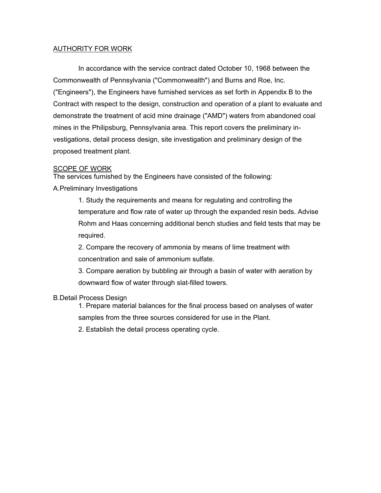### AUTHORITY FOR WORK

In accordance with the service contract dated October 10, 1968 between the Commonwealth of Pennsylvania ("Commonwealth") and Burns and Roe, Inc. ("Engineers"), the Engineers have furnished services as set forth in Appendix B to the Contract with respect to the design, construction and operation of a plant to evaluate and demonstrate the treatment of acid mine drainage ("AMD") waters from abandoned coal mines in the Philipsburg, Pennsylvania area. This report covers the preliminary investigations, detail process design, site investigation and preliminary design of the proposed treatment plant.

### SCOPE OF WORK

The services furnished by the Engineers have consisted of the following:

A.Preliminary Investigations

1. Study the requirements and means for regulating and controlling the temperature and flow rate of water up through the expanded resin beds. Advise Rohm and Haas concerning additional bench studies and field tests that may be required.

2. Compare the recovery of ammonia by means of lime treatment with concentration and sale of ammonium sulfate.

3. Compare aeration by bubbling air through a basin of water with aeration by downward flow of water through slat-filled towers.

### B.Detail Process Design

1. Prepare material balances for the final process based on analyses of water samples from the three sources considered for use in the Plant.

2. Establish the detail process operating cycle.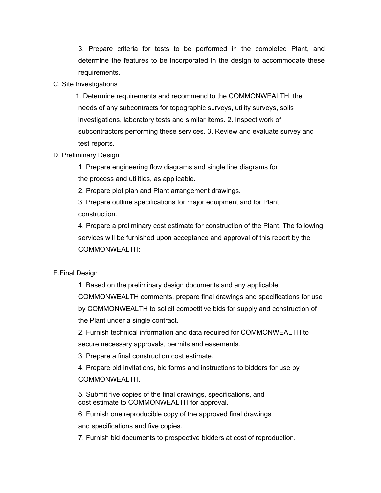3. Prepare criteria for tests to be performed in the completed Plant, and determine the features to be incorporated in the design to accommodate these requirements.

### C. Site Investigations

1. Determine requirements and recommend to the COMMONWEALTH, the needs of any subcontracts for topographic surveys, utility surveys, soils investigations, laboratory tests and similar items. 2. Inspect work of subcontractors performing these services. 3. Review and evaluate survey and test reports.

### D. Preliminary Design

1. Prepare engineering flow diagrams and single line diagrams for the process and utilities, as applicable.

2. Prepare plot plan and Plant arrangement drawings.

3. Prepare outline specifications for major equipment and for Plant construction.

4. Prepare a preliminary cost estimate for construction of the Plant. The following services will be furnished upon acceptance and approval of this report by the COMMONWEALTH:

### E.Final Design

1. Based on the preliminary design documents and any applicable COMMONWEALTH comments, prepare final drawings and specifications for use by COMMONWEALTH to solicit competitive bids for supply and construction of the Plant under a single contract.

2. Furnish technical information and data required for COMMONWEALTH to secure necessary approvals, permits and easements.

3. Prepare a final construction cost estimate.

4. Prepare bid invitations, bid forms and instructions to bidders for use by COMMONWEALTH.

5. Submit five copies of the final drawings, specifications, and cost estimate to COMMONWEALTH for approval.

6. Furnish one reproducible copy of the approved final drawings and specifications and five copies.

7. Furnish bid documents to prospective bidders at cost of reproduction.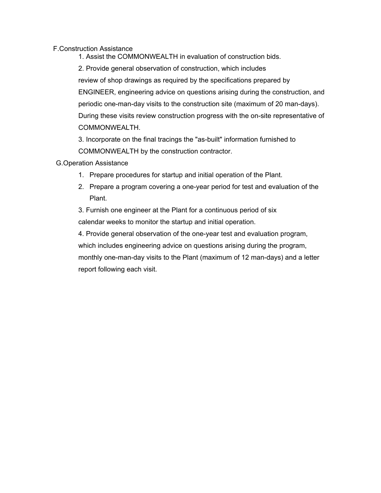F.Construction Assistance

1. Assist the COMMONWEALTH in evaluation of construction bids.

2. Provide general observation of construction, which includes review of shop drawings as required by the specifications prepared by ENGINEER, engineering advice on questions arising during the construction, and periodic one-man-day visits to the construction site (maximum of 20 man-days). During these visits review construction progress with the on-site representative of COMMONWEALTH.

3. Incorporate on the final tracings the "as-built" information furnished to COMMONWEALTH by the construction contractor.

## G.Operation Assistance

- 1. Prepare procedures for startup and initial operation of the Plant.
- 2. Prepare a program covering a one-year period for test and evaluation of the Plant.

3. Furnish one engineer at the Plant for a continuous period of six calendar weeks to monitor the startup and initial operation.

4. Provide general observation of the one-year test and evaluation program, which includes engineering advice on questions arising during the program, monthly one-man-day visits to the Plant (maximum of 12 man-days) and a letter report following each visit.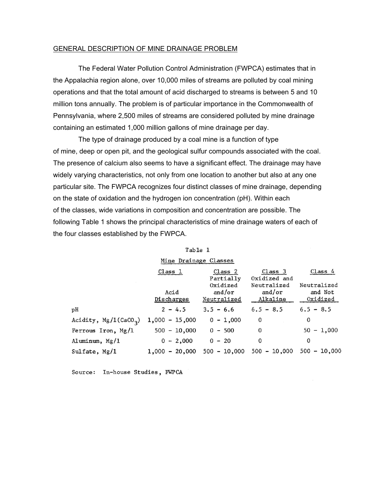#### GENERAL DESCRIPTION OF MINE DRAINAGE PROBLEM

The Federal Water Pollution Control Administration (FWPCA) estimates that in the Appalachia region alone, over 10,000 miles of streams are polluted by coal mining operations and that the total amount of acid discharged to streams is between 5 and 10 million tons annually. The problem is of particular importance in the Commonwealth of Pennsylvania, where 2,500 miles of streams are considered polluted by mine drainage containing an estimated 1,000 million gallons of mine drainage per day.

The type of drainage produced by a coal mine is a function of type of mine, deep or open pit, and the geological sulfur compounds associated with the coal. The presence of calcium also seems to have a significant effect. The drainage may have widely varying characteristics, not only from one location to another but also at any one particular site. The FWPCA recognizes four distinct classes of mine drainage, depending on the state of oxidation and the hydrogen ion concentration (pH). Within each of the classes, wide variations in composition and concentration are possible. The following Table 1 shows the principal characteristics of mine drainage waters of each of the four classes established by the FWPCA.

| Mine Drainage Classes  |                    |                                   |                                   |                                    |  |  |
|------------------------|--------------------|-----------------------------------|-----------------------------------|------------------------------------|--|--|
|                        | Class 1            | Class <sub>2</sub><br>Partially   | Class 3<br>Oxidized and           | Class 4                            |  |  |
|                        | Acid<br>Discharges | Oxidized<br>and/or<br>Neutralized | Neutralized<br>and/or<br>Alkaline | Neutralized<br>and Not<br>Oxidized |  |  |
| pН                     | $2 - 4.5$          | $3.5 - 6.6$                       | $6.5 - 8.5$                       | $6.5 - 8.5$                        |  |  |
| Acidity, $Mg/I(CaCO3)$ | $1,000 - 15,000$   | $0 - 1,000$                       | 0                                 | 0                                  |  |  |
| Ferrous Iron, $Mg/1$   | $500 - 10,000$     | $0 - 500$                         | 0                                 | $50 - 1,000$                       |  |  |
| Aluminum, Mg/1         | $0 - 2,000$        | $0 - 20$                          | 0                                 | 0                                  |  |  |
| Sulfate, Mg/1          | $1,000 - 20,000$   | $500 - 10,000$                    | $500 - 10,000$                    | $500 - 10,000$                     |  |  |

|  | 'able |  |
|--|-------|--|
|  |       |  |

Source: In-house Studies, FWPCA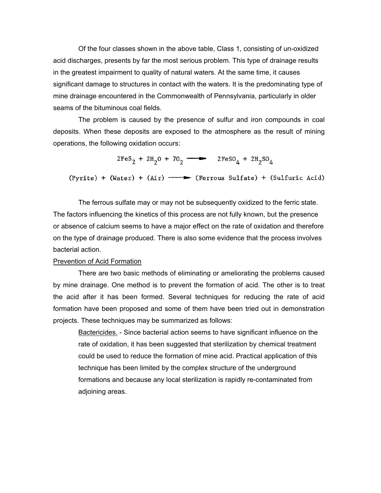Of the four classes shown in the above table, Class 1, consisting of un-oxidized acid discharges, presents by far the most serious problem. This type of drainage results in the greatest impairment to quality of natural waters. At the same time, it causes significant damage to structures in contact with the waters. It is the predominating type of mine drainage encountered in the Commonwealth of Pennsylvania, particularly in older seams of the bituminous coal fields.

The problem is caused by the presence of sulfur and iron compounds in coal deposits. When these deposits are exposed to the atmosphere as the result of mining operations, the following oxidation occurs:

 $2FeS_2 + 2H_2O + 70_2$  2FeSO<sub>4</sub> +  $2H_2SO_4$  $(Pyrite) + (Water) + (Air) \nightharpoonup (Fervous Sulfate) + (Sulfuric Acid)$ 

The ferrous sulfate may or may not be subsequently oxidized to the ferric state. The factors influencing the kinetics of this process are not fully known, but the presence or absence of calcium seems to have a major effect on the rate of oxidation and therefore on the type of drainage produced. There is also some evidence that the process involves bacterial action.

#### Prevention of Acid Formation

There are two basic methods of eliminating or ameliorating the problems caused by mine drainage. One method is to prevent the formation of acid. The other is to treat the acid after it has been formed. Several techniques for reducing the rate of acid formation have been proposed and some of them have been tried out in demonstration projects. These techniques may be summarized as follows:

Bactericides. - Since bacterial action seems to have significant influence on the rate of oxidation, it has been suggested that sterilization by chemical treatment could be used to reduce the formation of mine acid. Practical application of this technique has been limited by the complex structure of the underground formations and because any local sterilization is rapidly re-contaminated from adjoining areas.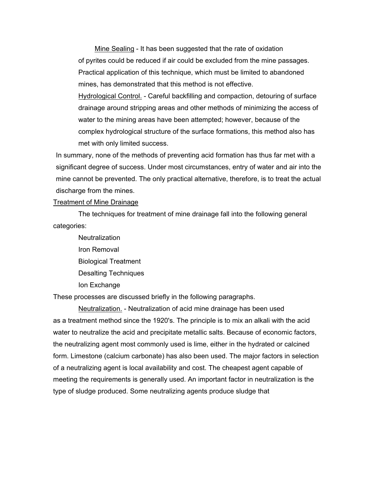Mine Sealing - It has been suggested that the rate of oxidation of pyrites could be reduced if air could be excluded from the mine passages. Practical application of this technique, which must be limited to abandoned mines, has demonstrated that this method is not effective.

Hydrological Control. - Careful backfilling and compaction, detouring of surface drainage around stripping areas and other methods of minimizing the access of water to the mining areas have been attempted; however, because of the complex hydrological structure of the surface formations, this method also has met with only limited success.

In summary, none of the methods of preventing acid formation has thus far met with a significant degree of success. Under most circumstances, entry of water and air into the mine cannot be prevented. The only practical alternative, therefore, is to treat the actual discharge from the mines.

#### Treatment of Mine Drainage

The techniques for treatment of mine drainage fall into the following general categories:

**Neutralization** Iron Removal Biological Treatment Desalting Techniques Ion Exchange

These processes are discussed briefly in the following paragraphs.

Neutralization. - Neutralization of acid mine drainage has been used as a treatment method since the 1920's. The principle is to mix an alkali with the acid water to neutralize the acid and precipitate metallic salts. Because of economic factors, the neutralizing agent most commonly used is lime, either in the hydrated or calcined form. Limestone (calcium carbonate) has also been used. The major factors in selection of a neutralizing agent is local availability and cost. The cheapest agent capable of meeting the requirements is generally used. An important factor in neutralization is the type of sludge produced. Some neutralizing agents produce sludge that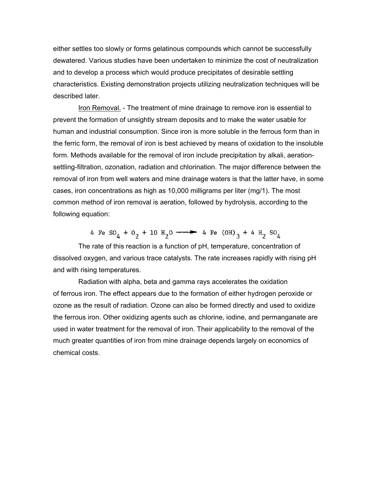either settles too slowly or forms gelatinous compounds which cannot be successfully dewatered. Various studies have been undertaken to minimize the cost of neutralization and to develop a process which would produce precipitates of desirable settling characteristics. Existing demonstration projects utilizing neutralization techniques will be described later.

Iron Removal. - The treatment of mine drainage to remove iron is essential to prevent the formation of unsightly stream deposits and to make the water usable for human and industrial consumption. Since iron is more soluble in the ferrous form than in the ferric form, the removal of iron is best achieved by means of oxidation to the insoluble form. Methods available for the removal of iron include precipitation by alkali, aerationsettling-filtration, ozonation, radiation and chlorination. The major difference between the removal of iron from well waters and mine drainage waters is that the latter have, in some cases, iron concentrations as high as 10,000 milligrams per liter (mg/1). The most common method of iron removal is aeration, followed by hydrolysis, according to the following equation:

The rate of this reaction is a function of pH, temperature, concentration of

dissolved oxygen, and various trace catalysts. The rate increases rapidly with rising pH and with rising temperatures.

Radiation with alpha, beta and gamma rays accelerates the oxidation of ferrous iron. The effect appears due to the formation of either hydrogen peroxide or ozone as the result of radiation. Ozone can also be formed directly and used to oxidize the ferrous iron. Other oxidizing agents such as chlorine, iodine, and permanganate are used in water treatment for the removal of iron. Their applicability to the removal of the much greater quantities of iron from mine drainage depends largely on economics of chemical costs.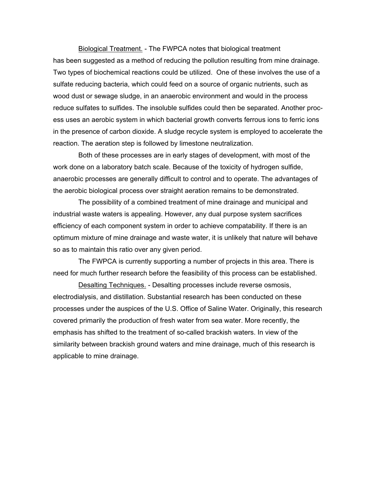Biological Treatment. - The FWPCA notes that biological treatment has been suggested as a method of reducing the pollution resulting from mine drainage. Two types of biochemical reactions could be utilized. One of these involves the use of a sulfate reducing bacteria, which could feed on a source of organic nutrients, such as wood dust or sewage sludge, in an anaerobic environment and would in the process reduce sulfates to sulfides. The insoluble sulfides could then be separated. Another process uses an aerobic system in which bacterial growth converts ferrous ions to ferric ions in the presence of carbon dioxide. A sludge recycle system is employed to accelerate the reaction. The aeration step is followed by limestone neutralization.

Both of these processes are in early stages of development, with most of the work done on a laboratory batch scale. Because of the toxicity of hydrogen sulfide, anaerobic processes are generally difficult to control and to operate. The advantages of the aerobic biological process over straight aeration remains to be demonstrated.

The possibility of a combined treatment of mine drainage and municipal and industrial waste waters is appealing. However, any dual purpose system sacrifices efficiency of each component system in order to achieve compatability. If there is an optimum mixture of mine drainage and waste water, it is unlikely that nature will behave so as to maintain this ratio over any given period.

The FWPCA is currently supporting a number of projects in this area. There is need for much further research before the feasibility of this process can be established.

Desalting Techniques. - Desalting processes include reverse osmosis, electrodialysis, and distillation. Substantial research has been conducted on these processes under the auspices of the U.S. Office of Saline Water. Originally, this research covered primarily the production of fresh water from sea water. More recently, the emphasis has shifted to the treatment of so-called brackish waters. In view of the similarity between brackish ground waters and mine drainage, much of this research is applicable to mine drainage.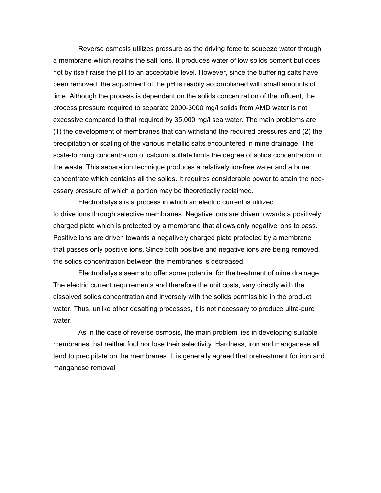Reverse osmosis utilizes pressure as the driving force to squeeze water through a membrane which retains the salt ions. It produces water of low solids content but does not by itself raise the pH to an acceptable level. However, since the buffering salts have been removed, the adjustment of the pH is readily accomplished with small amounts of lime. Although the process is dependent on the solids concentration of the influent, the process pressure required to separate 2000-3000 mg/l solids from AMD water is not excessive compared to that required by 35,000 mg/l sea water. The main problems are (1) the development of membranes that can withstand the required pressures and (2) the precipitation or scaling of the various metallic salts encountered in mine drainage. The scale-forming concentration of calcium sulfate limits the degree of solids concentration in the waste. This separation technique produces a relatively ion-free water and a brine concentrate which contains all the solids. It requires considerable power to attain the necessary pressure of which a portion may be theoretically reclaimed.

Electrodialysis is a process in which an electric current is utilized to drive ions through selective membranes. Negative ions are driven towards a positively charged plate which is protected by a membrane that allows only negative ions to pass. Positive ions are driven towards a negatively charged plate protected by a membrane that passes only positive ions. Since both positive and negative ions are being removed, the solids concentration between the membranes is decreased.

Electrodialysis seems to offer some potential for the treatment of mine drainage. The electric current requirements and therefore the unit costs, vary directly with the dissolved solids concentration and inversely with the solids permissible in the product water. Thus, unlike other desalting processes, it is not necessary to produce ultra-pure water.

As in the case of reverse osmosis, the main problem lies in developing suitable membranes that neither foul nor lose their selectivity. Hardness, iron and manganese all tend to precipitate on the membranes. It is generally agreed that pretreatment for iron and manganese removal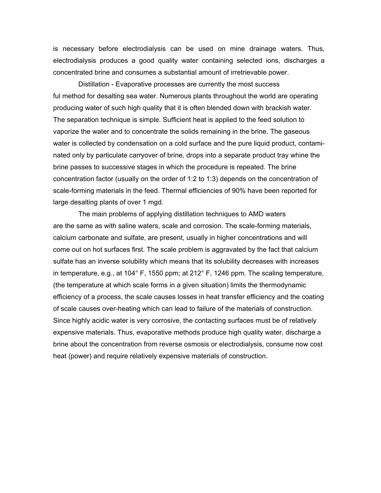is necessary before electrodialysis can be used on mine drainage waters. Thus, electrodialysis produces a good quality water containing selected ions, discharges a concentrated brine and consumes a substantial amount of irretrievable power.

Distillation - Evaporative processes are currently the most success ful method for desalting sea water. Numerous plants throughout the world are operating producing water of such high quality that it is often blended down with brackish water. The separation technique is simple. Sufficient heat is applied to the feed solution to vaporize the water and to concentrate the solids remaining in the brine. The gaseous water is collected by condensation on a cold surface and the pure liquid product, contaminated only by particulate carryover of brine, drops into a separate product tray whine the brine passes to successive stages in which the procedure is repeated. The brine concentration factor (usually on the order of 1:2 to 1:3) depends on the concentration of scale-forming materials in the feed. Thermal efficiencies of 90% have been reported for large desalting plants of over 1 mgd.

The main problems of applying distillation techniques to AMD waters are the same as with saline waters, scale and corrosion. The scale-forming materials, calcium carbonate and sulfate, are present, usually in higher concentrations and will come out on hot surfaces first. The scale problem is aggravated by the fact that calcium sulfate has an inverse solubility which means that its solubility decreases with increases in temperature, e.g., at 104° F, 1550 ppm; at 212° F, 1246 ppm. The scaling temperature, (the temperature at which scale forms in a given situation) limits the thermodynamic efficiency of a process, the scale causes losses in heat transfer efficiency and the coating of scale causes over-heating which can lead to failure of the materials of construction. Since highly acidic water is very corrosive, the contacting surfaces must be of relatively expensive materials. Thus, evaporative methods produce high quality water, discharge a brine about the concentration from reverse osmosis or electrodialysis, consume now cost heat (power) and require relatively expensive materials of construction.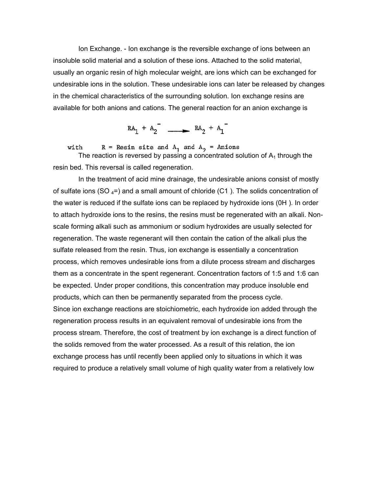Ion Exchange. - Ion exchange is the reversible exchange of ions between an insoluble solid material and a solution of these ions. Attached to the solid material, usually an organic resin of high molecular weight, are ions which can be exchanged for undesirable ions in the solution. These undesirable ions can later be released by changes in the chemical characteristics of the surrounding solution. Ion exchange resins are available for both anions and cations. The general reaction for an anion exchange is

 $RA_1 + A_2$   $RA_2 + A_1$ 

with  $R =$  Resin site and  $A_1$  and  $A_2 =$  Anions<br>The reaction is reversed by passing a concentrated solution of  $A_1$  through the resin bed. This reversal is called regeneration.

In the treatment of acid mine drainage, the undesirable anions consist of mostly of sulfate ions (SO  $_4$ =) and a small amount of chloride (C1). The solids concentration of the water is reduced if the sulfate ions can be replaced by hydroxide ions (0H ). In order to attach hydroxide ions to the resins, the resins must be regenerated with an alkali. Nonscale forming alkali such as ammonium or sodium hydroxides are usually selected for regeneration. The waste regenerant will then contain the cation of the alkali plus the sulfate released from the resin. Thus, ion exchange is essentially a concentration process, which removes undesirable ions from a dilute process stream and discharges them as a concentrate in the spent regenerant. Concentration factors of 1:5 and 1:6 can be expected. Under proper conditions, this concentration may produce insoluble end products, which can then be permanently separated from the process cycle. Since ion exchange reactions are stoichiometric, each hydroxide ion added through the regeneration process results in an equivalent removal of undesirable ions from the process stream. Therefore, the cost of treatment by ion exchange is a direct function of the solids removed from the water processed. As a result of this relation, the ion exchange process has until recently been applied only to situations in which it was required to produce a relatively small volume of high quality water from a relatively low